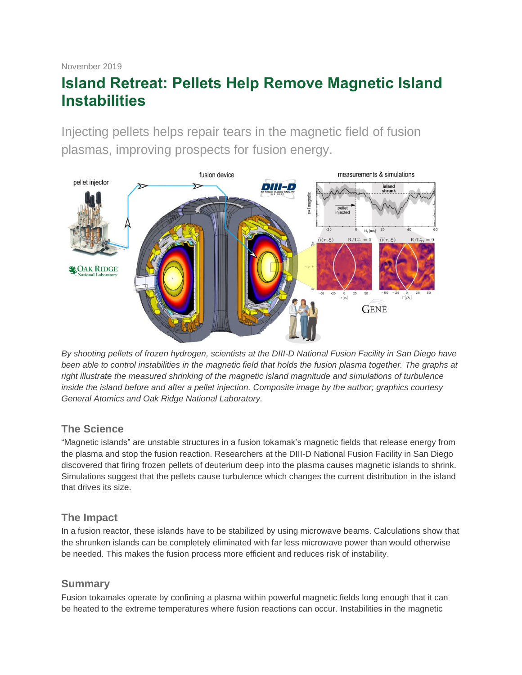# **Island Retreat: Pellets Help Remove Magnetic Island Instabilities**

Injecting pellets helps repair tears in the magnetic field of fusion plasmas, improving prospects for fusion energy.



*By shooting pellets of frozen hydrogen, scientists at the DIII-D National Fusion Facility in San Diego have*  been able to control instabilities in the magnetic field that holds the fusion plasma together. The graphs at *right illustrate the measured shrinking of the magnetic island magnitude and simulations of turbulence inside the island before and after a pellet injection. Composite image by the author; graphics courtesy General Atomics and Oak Ridge National Laboratory.*

# **The Science**

"Magnetic islands" are unstable structures in a fusion tokamak's magnetic fields that release energy from the plasma and stop the fusion reaction. Researchers at the DIII-D National Fusion Facility in San Diego discovered that firing frozen pellets of deuterium deep into the plasma causes magnetic islands to shrink. Simulations suggest that the pellets cause turbulence which changes the current distribution in the island that drives its size.

# **The Impact**

In a fusion reactor, these islands have to be stabilized by using microwave beams. Calculations show that the shrunken islands can be completely eliminated with far less microwave power than would otherwise be needed. This makes the fusion process more efficient and reduces risk of instability.

# **Summary**

Fusion tokamaks operate by confining a plasma within powerful magnetic fields long enough that it can be heated to the extreme temperatures where fusion reactions can occur. Instabilities in the magnetic